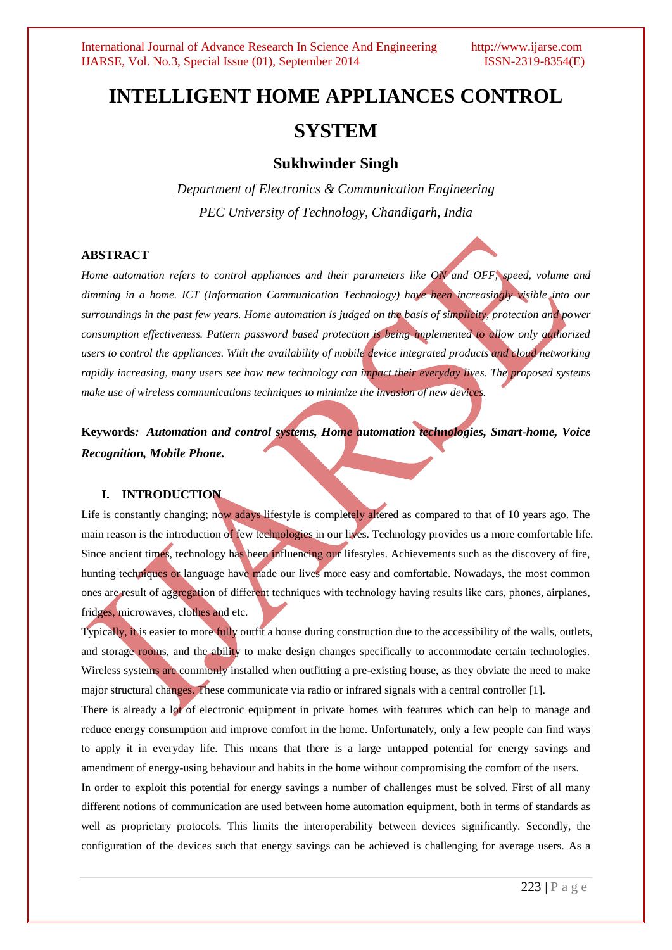# **INTELLIGENT HOME APPLIANCES CONTROL SYSTEM**

## **Sukhwinder Singh**

*Department of Electronics & Communication Engineering PEC University of Technology, Chandigarh, India*

### **ABSTRACT**

*Home automation refers to control appliances and their parameters like ON and OFF, speed, volume and dimming in a home. ICT (Information Communication Technology) have been increasingly visible into our surroundings in the past few years. Home automation is judged on the basis of simplicity, protection and power consumption effectiveness. Pattern password based protection is being implemented to allow only authorized users to control the appliances. With the availability of mobile device integrated products and cloud networking rapidly increasing, many users see how new technology can impact their everyday lives. The proposed systems make use of wireless communications techniques to minimize the invasion of new devices.*

**Keywords***: Automation and control systems, Home automation technologies, Smart-home, Voice Recognition, Mobile Phone.*

### **I. INTRODUCTION**

Life is constantly changing; now adays lifestyle is completely altered as compared to that of 10 years ago. The main reason is the introduction of few technologies in our lives. Technology provides us a more comfortable life. Since ancient times, technology has been influencing our lifestyles. Achievements such as the discovery of fire, hunting techniques or language have made our lives more easy and comfortable. Nowadays, the most common ones are result of aggregation of different techniques with technology having results like cars, phones, airplanes, fridges, microwaves, clothes and etc.

Typically, it is easier to more fully outfit a house during construction due to the accessibility of the walls, outlets, and storage rooms, and the ability to make design changes specifically to accommodate certain technologies. Wireless systems are commonly installed when outfitting a pre-existing house, as they obviate the need to make major structural changes. These communicate via radio or infrared signals with a central controller [1].

There is already a lot of electronic equipment in private homes with features which can help to manage and reduce energy consumption and improve comfort in the home. Unfortunately, only a few people can find ways to apply it in everyday life. This means that there is a large untapped potential for energy savings and amendment of energy-using behaviour and habits in the home without compromising the comfort of the users.

In order to exploit this potential for energy savings a number of challenges must be solved. First of all many different notions of communication are used between home automation equipment, both in terms of standards as well as proprietary protocols. This limits the interoperability between devices significantly. Secondly, the configuration of the devices such that energy savings can be achieved is challenging for average users. As a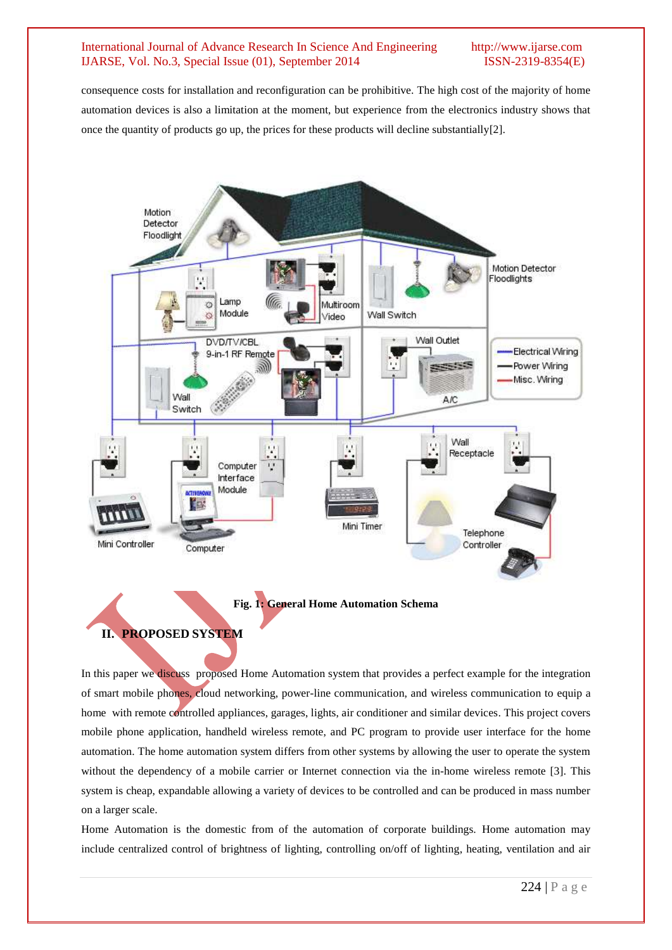#### International Journal of Advance Research In Science And Engineering http://www.ijarse.com IJARSE, Vol. No.3, Special Issue (01), September 2014 ISSN-2319-8354(E)

consequence costs for installation and reconfiguration can be prohibitive. The high cost of the majority of home automation devices is also a limitation at the moment, but experience from the electronics industry shows that once the quantity of products go up, the prices for these products will decline substantially[2].



**Fig. 1: General Home Automation Schema** 

**II. PROPOSED SYSTEM**

# In this paper we discuss proposed Home Automation system that provides a perfect example for the integration of smart mobile phones, cloud networking, power-line communication, and wireless communication to equip a home with remote controlled appliances, garages, lights, air conditioner and similar devices. This project covers mobile phone application, handheld wireless remote, and PC program to provide user interface for the home automation. The home automation system differs from other systems by allowing the user to operate the system without the dependency of a mobile carrier or Internet connection via the in-home wireless remote [3]. This system is cheap, expandable allowing a variety of devices to be controlled and can be produced in mass number on a larger scale.

Home Automation is the domestic from of the automation of corporate buildings. Home automation may include centralized control of brightness of lighting, controlling on/off of lighting, heating, ventilation and air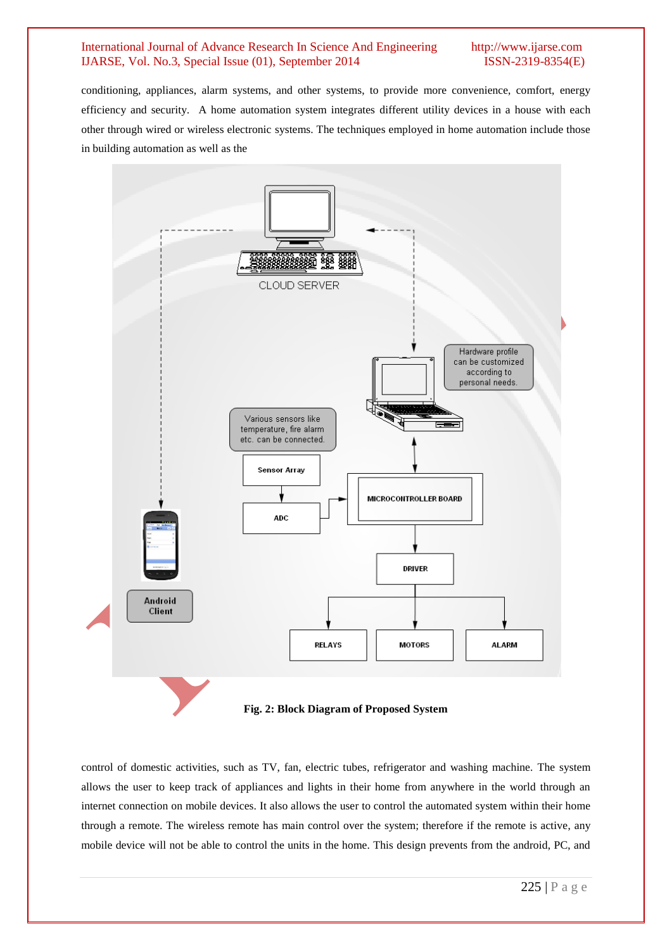#### International Journal of Advance Research In Science And Engineering http://www.ijarse.com IJARSE, Vol. No.3, Special Issue (01), September 2014 ISSN-2319-8354(E)

conditioning, appliances, alarm systems, and other systems, to provide more convenience, comfort, energy efficiency and security. A home automation system integrates different utility devices in a house with each other through wired or wireless electronic systems. The techniques employed in home automation include those in building automation as well as the



control of domestic activities, such as TV, fan, electric tubes, refrigerator and washing machine. The system allows the user to keep track of appliances and lights in their home from anywhere in the world through an internet connection on mobile devices. It also allows the user to control the automated system within their home through a remote. The wireless remote has main control over the system; therefore if the remote is active, any mobile device will not be able to control the units in the home. This design prevents from the android, PC, and